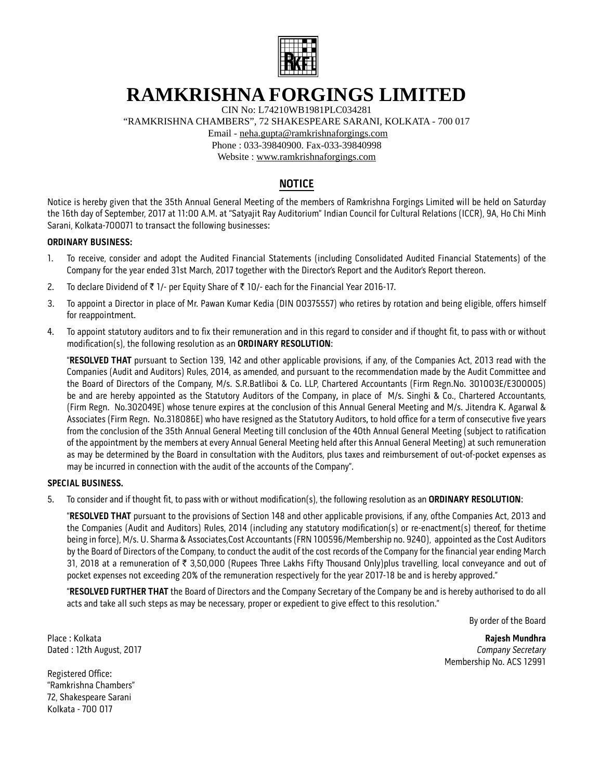

# **RAMKRISHNA FORGINGS LIMITED**

CIN No: L74210WB1981PLC034281

"RAMKRISHNA CHAMBERS", 72 SHAKESPEARE SARANI, KOLKATA - 700 017

Email - neha.gupta@ramkrishnaforgings.com

Phone : 033-39840900. Fax-033-39840998

Website : www.ramkrishnaforgings.com

# **NOTICE**

Notice is hereby given that the 35th Annual General Meeting of the members of Ramkrishna Forgings Limited will be held on Saturday the 16th day of September, 2017 at 11:00 A.M. at "Satyajit Ray Auditorium" Indian Council for Cultural Relations (ICCR), 9A, Ho Chi Minh Sarani, Kolkata-700071 to transact the following businesses:

### **ORDINARY BUSINESS:**

- 1. To receive, consider and adopt the Audited Financial Statements (including Consolidated Audited Financial Statements) of the Company for the year ended 31st March, 2017 together with the Director's Report and the Auditor's Report thereon.
- 2. To declare Dividend of  $\bar{\tau}$  1/- per Equity Share of  $\bar{\tau}$  10/- each for the Financial Year 2016-17.
- 3. To appoint a Director in place of Mr. Pawan Kumar Kedia (DIN 00375557) who retires by rotation and being eligible, offers himself for reappointment.
- 4. To appoint statutory auditors and to fix their remuneration and in this regard to consider and if thought fit, to pass with or without modification(s), the following resolution as an **ORDINARY RESOLUTION**:

 "**RESOLVED THAT** pursuant to Section 139, 142 and other applicable provisions, if any, of the Companies Act, 2013 read with the Companies (Audit and Auditors) Rules, 2014, as amended, and pursuant to the recommendation made by the Audit Committee and the Board of Directors of the Company, M/s. S.R.Batliboi & Co. LLP, Chartered Accountants (Firm Regn.No. 301003E/E300005) be and are hereby appointed as the Statutory Auditors of the Company**,** in place of M/s. Singhi & Co., Chartered Accountants, (Firm Regn. No.302049E) whose tenure expires at the conclusion of this Annual General Meeting and M/s. Jitendra K. Agarwal & Associates (Firm Regn. No.318086E) who have resigned as the Statutory Auditors**,** to hold office for a term of consecutive five years from the conclusion of the 35th Annual General Meeting till conclusion of the 40th Annual General Meeting (subject to ratification of the appointment by the members at every Annual General Meeting held after this Annual General Meeting) at such remuneration as may be determined by the Board in consultation with the Auditors, plus taxes and reimbursement of out-of-pocket expenses as may be incurred in connection with the audit of the accounts of the Company".

### **SPECIAL BUSINESS.**

5. To consider and if thought fit, to pass with or without modification(s), the following resolution as an **ORDINARY RESOLUTION**:

 "**RESOLVED THAT** pursuant to the provisions of Section 148 and other applicable provisions, if any, ofthe Companies Act, 2013 and the Companies (Audit and Auditors) Rules, 2014 (including any statutory modification(s) or re-enactment(s) thereof, for thetime being in force), M/s. U. Sharma & Associates,Cost Accountants (FRN 100596/Membership no. 9240), appointed as the Cost Auditors by the Board of Directors of the Company, to conduct the audit of the cost records of the Company for the financial year ending March 31, 2018 at a remuneration of ₹ 3,50,000 (Rupees Three Lakhs Fifty Thousand Only)plus travelling, local conveyance and out of pocket expenses not exceeding 20% of the remuneration respectively for the year 2017-18 be and is hereby approved."

 "**RESOLVED FURTHER THAT** the Board of Directors and the Company Secretary of the Company be and is hereby authorised to do all acts and take all such steps as may be necessary, proper or expedient to give effect to this resolution."

By order of the Board

Place : Kolkata **Rajesh Mundhra** Dated : 12th August, 2017 *Company Secretary* Membership No. ACS 12991

Registered Office: "Ramkrishna Chambers" 72, Shakespeare Sarani Kolkata - 700 017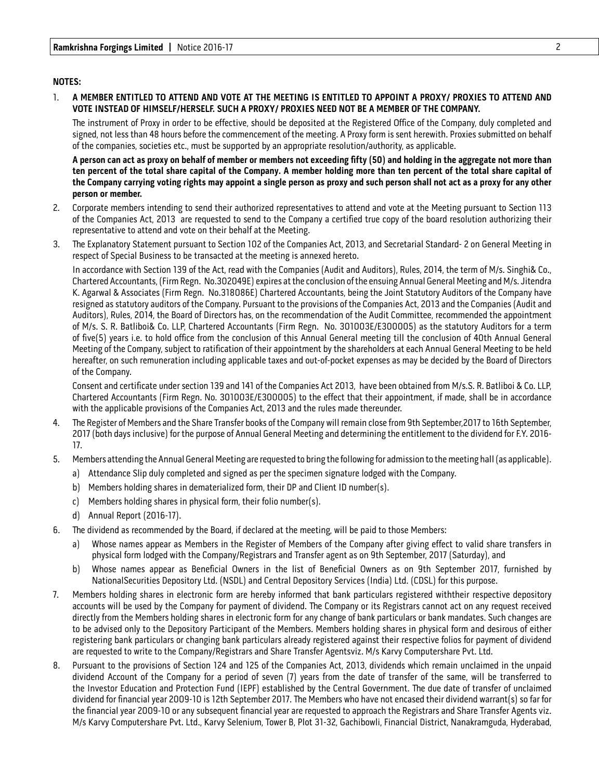### **NOTES:**

#### 1. **A MEMBER ENTITLED TO ATTEND AND VOTE AT THE MEETING IS ENTITLED TO APPOINT A PROXY/ PROXIES TO ATTEND AND VOTE INSTEAD OF HIMSELF/HERSELF. SUCH A PROXY/ PROXIES NEED NOT BE A MEMBER OF THE COMPANY.**

The instrument of Proxy in order to be effective, should be deposited at the Registered Office of the Company, duly completed and signed, not less than 48 hours before the commencement of the meeting. A Proxy form is sent herewith. Proxies submitted on behalf of the companies, societies etc., must be supported by an appropriate resolution/authority, as applicable.

 **A person can act as proxy on behalf of member or members not exceeding fifty (50) and holding in the aggregate not more than ten percent of the total share capital of the Company. A member holding more than ten percent of the total share capital of the Company carrying voting rights may appoint a single person as proxy and such person shall not act as a proxy for any other person or member.**

- 2. Corporate members intending to send their authorized representatives to attend and vote at the Meeting pursuant to Section 113 of the Companies Act, 2013 are requested to send to the Company a certified true copy of the board resolution authorizing their representative to attend and vote on their behalf at the Meeting.
- 3. The Explanatory Statement pursuant to Section 102 of the Companies Act, 2013, and Secretarial Standard- 2 on General Meeting in respect of Special Business to be transacted at the meeting is annexed hereto.

 In accordance with Section 139 of the Act, read with the Companies (Audit and Auditors), Rules, 2014, the term of M/s. Singhi& Co., Chartered Accountants, (Firm Regn. No.302049E) expires at the conclusion of the ensuing Annual General Meeting and M/s. Jitendra K. Agarwal & Associates (Firm Regn. No.318086E) Chartered Accountants, being the Joint Statutory Auditors of the Company have resigned as statutory auditors of the Company. Pursuant to the provisions of the Companies Act, 2013 and the Companies (Audit and Auditors), Rules, 2014, the Board of Directors has, on the recommendation of the Audit Committee, recommended the appointment of M/s. S. R. Batliboi& Co. LLP, Chartered Accountants (Firm Regn. No. 301003E/E300005) as the statutory Auditors for a term of five(5) years i.e. to hold office from the conclusion of this Annual General meeting till the conclusion of 40th Annual General Meeting of the Company, subject to ratification of their appointment by the shareholders at each Annual General Meeting to be held hereafter, on such remuneration including applicable taxes and out-of-pocket expenses as may be decided by the Board of Directors of the Company.

 Consent and certificate under section 139 and 141 of the Companies Act 2013, have been obtained from M/s.S. R. Batliboi & Co. LLP, Chartered Accountants (Firm Regn. No. 301003E/E300005) to the effect that their appointment, if made, shall be in accordance with the applicable provisions of the Companies Act, 2013 and the rules made thereunder.

- 4. The Register of Members and the Share Transfer books of the Company will remain close from 9th September,2017 to 16th September, 2017 (both days inclusive) for the purpose of Annual General Meeting and determining the entitlement to the dividend for F.Y. 2016- 17.
- 5. Members attending the Annual General Meeting are requested to bring the following for admission to the meeting hall (as applicable).
	- a) Attendance Slip duly completed and signed as per the specimen signature lodged with the Company.
	- b) Members holding shares in dematerialized form, their DP and Client ID number(s).
	- c) Members holding shares in physical form, their folio number(s).
	- d) Annual Report (2016-17).
- 6. The dividend as recommended by the Board, if declared at the meeting, will be paid to those Members:
	- a) Whose names appear as Members in the Register of Members of the Company after giving effect to valid share transfers in physical form lodged with the Company/Registrars and Transfer agent as on 9th September, 2017 (Saturday), and
	- b) Whose names appear as Beneficial Owners in the list of Beneficial Owners as on 9th September 2017, furnished by NationalSecurities Depository Ltd. (NSDL) and Central Depository Services (India) Ltd. (CDSL) for this purpose.
- 7. Members holding shares in electronic form are hereby informed that bank particulars registered withtheir respective depository accounts will be used by the Company for payment of dividend. The Company or its Registrars cannot act on any request received directly from the Members holding shares in electronic form for any change of bank particulars or bank mandates. Such changes are to be advised only to the Depository Participant of the Members. Members holding shares in physical form and desirous of either registering bank particulars or changing bank particulars already registered against their respective folios for payment of dividend are requested to write to the Company/Registrars and Share Transfer Agentsviz. M/s Karvy Computershare Pvt. Ltd.
- 8. Pursuant to the provisions of Section 124 and 125 of the Companies Act, 2013, dividends which remain unclaimed in the unpaid dividend Account of the Company for a period of seven (7) years from the date of transfer of the same, will be transferred to the Investor Education and Protection Fund (IEPF) established by the Central Government. The due date of transfer of unclaimed dividend for financial year 2009-10 is 12th September 2017. The Members who have not encased their dividend warrant(s) so far for the financial year 2009-10 or any subsequent financial year are requested to approach the Registrars and Share Transfer Agents viz. M/s Karvy Computershare Pvt. Ltd., Karvy Selenium, Tower B, Plot 31-32, Gachibowli, Financial District, Nanakramguda, Hyderabad,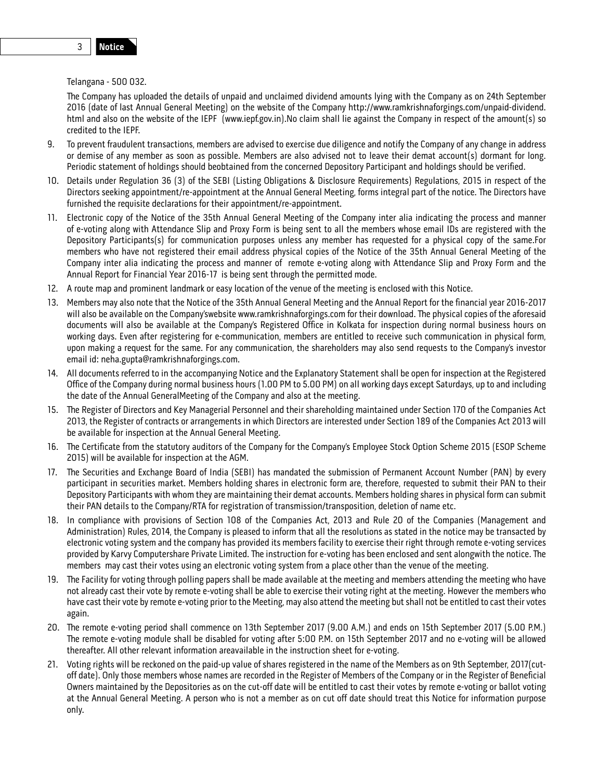The Company has uploaded the details of unpaid and unclaimed dividend amounts lying with the Company as on 24th September 2016 (date of last Annual General Meeting) on the website of the Company http://www.ramkrishnaforgings.com/unpaid-dividend. html and also on the website of the IEPF (www.iepf.gov.in).No claim shall lie against the Company in respect of the amount(s) so credited to the IEPF.

- 9. To prevent fraudulent transactions, members are advised to exercise due diligence and notify the Company of any change in address or demise of any member as soon as possible. Members are also advised not to leave their demat account(s) dormant for long. Periodic statement of holdings should beobtained from the concerned Depository Participant and holdings should be verified.
- 10. Details under Regulation 36 (3) of the SEBI (Listing Obligations & Disclosure Requirements) Regulations, 2015 in respect of the Directors seeking appointment/re-appointment at the Annual General Meeting, forms integral part of the notice. The Directors have furnished the requisite declarations for their appointment/re-appointment.
- 11. Electronic copy of the Notice of the 35th Annual General Meeting of the Company inter alia indicating the process and manner of e-voting along with Attendance Slip and Proxy Form is being sent to all the members whose email IDs are registered with the Depository Participants(s) for communication purposes unless any member has requested for a physical copy of the same.For members who have not registered their email address physical copies of the Notice of the 35th Annual General Meeting of the Company inter alia indicating the process and manner of remote e-voting along with Attendance Slip and Proxy Form and the Annual Report for Financial Year 2016-17 is being sent through the permitted mode.
- 12. A route map and prominent landmark or easy location of the venue of the meeting is enclosed with this Notice.
- 13. Members may also note that the Notice of the 35th Annual General Meeting and the Annual Report for the financial year 2016-2017 will also be available on the Company'swebsite www.ramkrishnaforgings.com for their download. The physical copies of the aforesaid documents will also be available at the Company's Registered Office in Kolkata for inspection during normal business hours on working days. Even after registering for e-communication, members are entitled to receive such communication in physical form, upon making a request for the same. For any communication, the shareholders may also send requests to the Company's investor email id: neha.gupta@ramkrishnaforgings.com.
- 14. All documents referred to in the accompanying Notice and the Explanatory Statement shall be open for inspection at the Registered Office of the Company during normal business hours (1.00 PM to 5.00 PM) on all working days except Saturdays, up to and including the date of the Annual GeneralMeeting of the Company and also at the meeting.
- 15. The Register of Directors and Key Managerial Personnel and their shareholding maintained under Section 170 of the Companies Act 2013, the Register of contracts or arrangements in which Directors are interested under Section 189 of the Companies Act 2013 will be available for inspection at the Annual General Meeting.
- 16. The Certificate from the statutory auditors of the Company for the Company's Employee Stock Option Scheme 2015 (ESOP Scheme 2015) will be available for inspection at the AGM.
- 17. The Securities and Exchange Board of India (SEBI) has mandated the submission of Permanent Account Number (PAN) by every participant in securities market. Members holding shares in electronic form are, therefore, requested to submit their PAN to their Depository Participants with whom they are maintaining their demat accounts. Members holding shares in physical form can submit their PAN details to the Company/RTA for registration of transmission/transposition, deletion of name etc.
- 18. In compliance with provisions of Section 108 of the Companies Act, 2013 and Rule 20 of the Companies (Management and Administration) Rules, 2014, the Company is pleased to inform that all the resolutions as stated in the notice may be transacted by electronic voting system and the company has provided its members facility to exercise their right through remote e-voting services provided by Karvy Computershare Private Limited. The instruction for e-voting has been enclosed and sent alongwith the notice. The members may cast their votes using an electronic voting system from a place other than the venue of the meeting.
- 19. The Facility for voting through polling papers shall be made available at the meeting and members attending the meeting who have not already cast their vote by remote e-voting shall be able to exercise their voting right at the meeting. However the members who have cast their vote by remote e-voting prior to the Meeting, may also attend the meeting but shall not be entitled to cast their votes again.
- 20. The remote e-voting period shall commence on 13th September 2017 (9.00 A.M.) and ends on 15th September 2017 (5.00 P.M.) The remote e-voting module shall be disabled for voting after 5:00 P.M. on 15th September 2017 and no e-voting will be allowed thereafter. All other relevant information areavailable in the instruction sheet for e-voting.
- 21. Voting rights will be reckoned on the paid-up value of shares registered in the name of the Members as on 9th September, 2017(cutoff date). Only those members whose names are recorded in the Register of Members of the Company or in the Register of Beneficial Owners maintained by the Depositories as on the cut-off date will be entitled to cast their votes by remote e-voting or ballot voting at the Annual General Meeting. A person who is not a member as on cut off date should treat this Notice for information purpose only.

3 **Notice**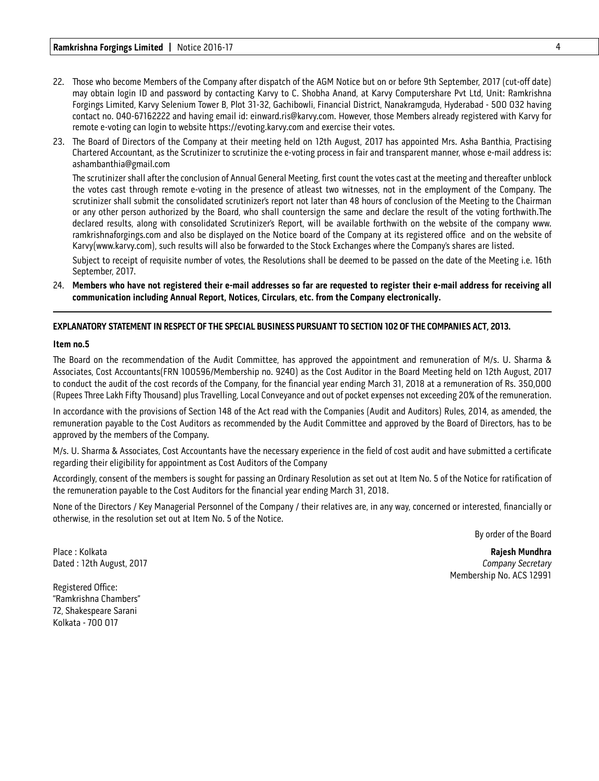- 22. Those who become Members of the Company after dispatch of the AGM Notice but on or before 9th September, 2017 (cut-off date) may obtain login ID and password by contacting Karvy to C. Shobha Anand, at Karvy Computershare Pvt Ltd, Unit: Ramkrishna Forgings Limited, Karvy Selenium Tower B, Plot 31-32, Gachibowli, Financial District, Nanakramguda, Hyderabad - 500 032 having contact no. 040-67162222 and having email id: einward.ris@karvy.com. However, those Members already registered with Karvy for remote e-voting can login to website https://evoting.karvy.com and exercise their votes.
- 23. The Board of Directors of the Company at their meeting held on 12th August, 2017 has appointed Mrs. Asha Banthia, Practising Chartered Accountant, as the Scrutinizer to scrutinize the e-voting process in fair and transparent manner, whose e-mail address is: ashambanthia@gmail.com

The scrutinizer shall after the conclusion of Annual General Meeting, first count the votes cast at the meeting and thereafter unblock the votes cast through remote e-voting in the presence of atleast two witnesses, not in the employment of the Company. The scrutinizer shall submit the consolidated scrutinizer's report not later than 48 hours of conclusion of the Meeting to the Chairman or any other person authorized by the Board, who shall countersign the same and declare the result of the voting forthwith.The declared results, along with consolidated Scrutinizer's Report, will be available forthwith on the website of the company www. ramkrishnaforgings.com and also be displayed on the Notice board of the Company at its registered office and on the website of Karvy(www.karvy.com), such results will also be forwarded to the Stock Exchanges where the Company's shares are listed.

 Subject to receipt of requisite number of votes, the Resolutions shall be deemed to be passed on the date of the Meeting i.e. 16th September, 2017.

24. **Members who have not registered their e-mail addresses so far are requested to register their e-mail address for receiving all communication including Annual Report, Notices, Circulars, etc. from the Company electronically.**

#### **EXPLANATORY STATEMENT IN RESPECT OF THE SPECIAL BUSINESS PURSUANT TO SECTION 102 OF THE COMPANIES ACT, 2013.**

#### **Item no.5**

The Board on the recommendation of the Audit Committee, has approved the appointment and remuneration of M/s. U. Sharma & Associates, Cost Accountants(FRN 100596/Membership no. 9240) as the Cost Auditor in the Board Meeting held on 12th August, 2017 to conduct the audit of the cost records of the Company, for the financial year ending March 31, 2018 at a remuneration of Rs. 350,000 (Rupees Three Lakh Fifty Thousand) plus Travelling, Local Conveyance and out of pocket expenses not exceeding 20% of the remuneration.

In accordance with the provisions of Section 148 of the Act read with the Companies (Audit and Auditors) Rules, 2014, as amended, the remuneration payable to the Cost Auditors as recommended by the Audit Committee and approved by the Board of Directors, has to be approved by the members of the Company.

M/s. U. Sharma & Associates, Cost Accountants have the necessary experience in the field of cost audit and have submitted a certificate regarding their eligibility for appointment as Cost Auditors of the Company

Accordingly, consent of the members is sought for passing an Ordinary Resolution as set out at Item No. 5 of the Notice for ratification of the remuneration payable to the Cost Auditors for the financial year ending March 31, 2018.

None of the Directors / Key Managerial Personnel of the Company / their relatives are, in any way, concerned or interested, financially or otherwise, in the resolution set out at Item No. 5 of the Notice.

By order of the Board

Place : Kolkata **Rajesh Mundhra** Membership No. ACS 12991

Dated : 12th August, 2017 *Company Secretary*

Registered Office: "Ramkrishna Chambers" 72, Shakespeare Sarani Kolkata - 700 017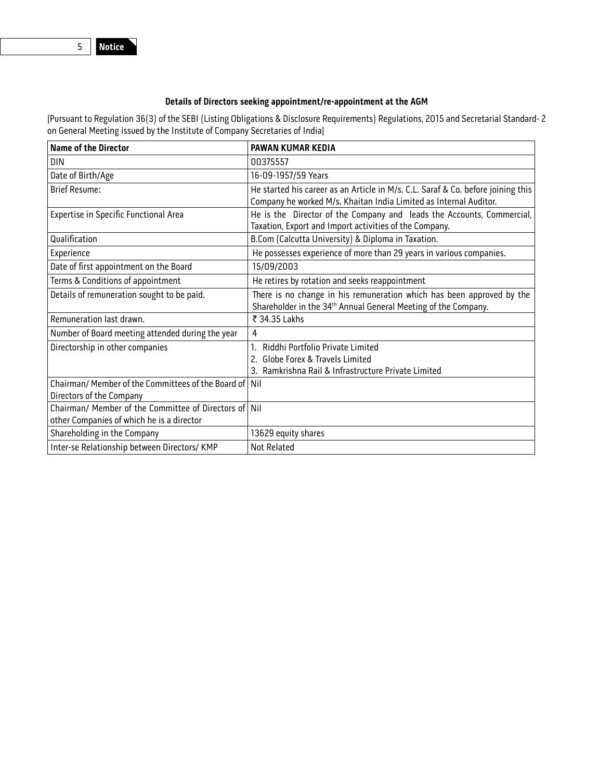### **Details of Directors seeking appointment/re-appointment at the AGM**

[Pursuant to Regulation 36(3) of the SEBI (Listing Obligations & Disclosure Requirements) Regulations, 2015 and Secretarial Standard- 2 on General Meeting issued by the Institute of Company Secretaries of India]

| <b>Name of the Director</b>                                                                        | <b>PAWAN KUMAR KEDIA</b>                                                                                                                              |
|----------------------------------------------------------------------------------------------------|-------------------------------------------------------------------------------------------------------------------------------------------------------|
| <b>DIN</b>                                                                                         | 00375557                                                                                                                                              |
| Date of Birth/Age                                                                                  | 16-09-1957/59 Years                                                                                                                                   |
| <b>Brief Resume:</b>                                                                               | He started his career as an Article in M/s. C.L. Saraf & Co. before joining this<br>Company he worked M/s. Khaitan India Limited as Internal Auditor. |
| Expertise in Specific Functional Area                                                              | He is the Director of the Company and leads the Accounts, Commercial,<br>Taxation, Export and Import activities of the Company.                       |
| Qualification                                                                                      | B.Com (Calcutta University) & Diploma in Taxation.                                                                                                    |
| Experience                                                                                         | He possesses experience of more than 29 years in various companies.                                                                                   |
| Date of first appointment on the Board                                                             | 15/09/2003                                                                                                                                            |
| Terms & Conditions of appointment                                                                  | He retires by rotation and seeks reappointment                                                                                                        |
| Details of remuneration sought to be paid.                                                         | There is no change in his remuneration which has been approved by the<br>Shareholder in the 34 <sup>th</sup> Annual General Meeting of the Company.   |
| Remuneration last drawn.                                                                           | ₹ 34.35 Lakhs                                                                                                                                         |
| Number of Board meeting attended during the year                                                   | 4                                                                                                                                                     |
| Directorship in other companies                                                                    | Riddhi Portfolio Private Limited<br>2. Globe Forex & Travels Limited                                                                                  |
|                                                                                                    | 3. Ramkrishna Rail & Infrastructure Private Limited                                                                                                   |
| Chairman/ Member of the Committees of the Board of Nil                                             |                                                                                                                                                       |
| Directors of the Company                                                                           |                                                                                                                                                       |
| Chairman/ Member of the Committee of Directors of Nil<br>other Companies of which he is a director |                                                                                                                                                       |
| Shareholding in the Company                                                                        | 13629 equity shares                                                                                                                                   |
| Inter-se Relationship between Directors/KMP                                                        | Not Related                                                                                                                                           |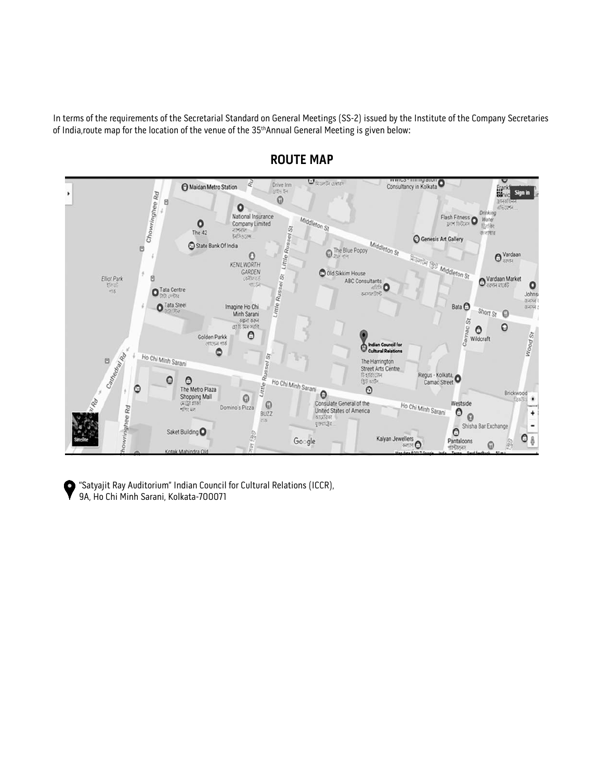In terms of the requirements of the Secretarial Standard on General Meetings (SS-2) issued by the Institute of the Company Secretaries of India, route map for the location of the venue of the 35<sup>th</sup>Annual General Meeting is given below:



# **ROUTE MAP**

"Satyajit Ray Auditorium" Indian Council for Cultural Relations (ICCR), ю 9A, Ho Chi Minh Sarani, Kolkata-700071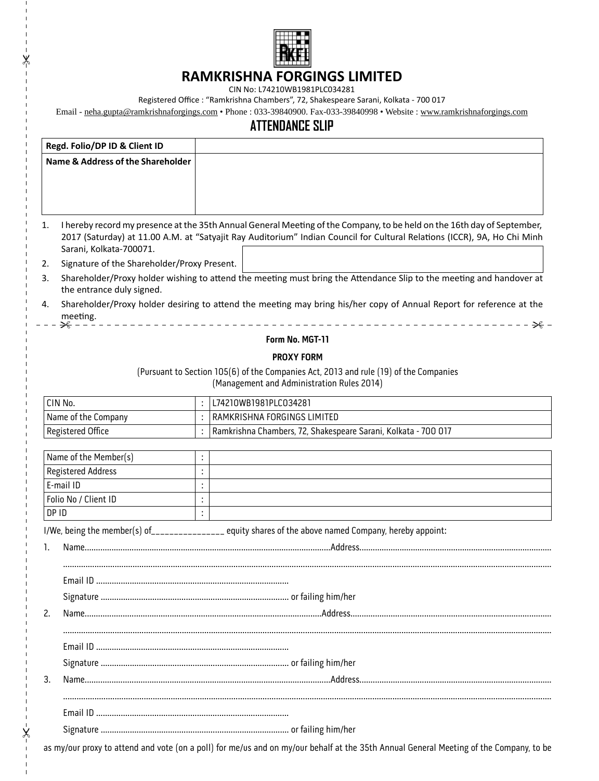

## **RAMKRISHNA FORGINGS LIMITED**

CIN No: L74210WB1981PLC034281

∦

Ķ

 $\overline{1}$ 

Registered Office : "Ramkrishna Chambers", 72, Shakespeare Sarani, Kolkata - 700 017

Email - neha.gupta@ramkrishnaforgings.com • Phone : 033-39840900. Fax-033-39840998 • Website : www.ramkrishnaforgings.com

# **ATTENDANCE SLIP**

| Regd. Folio/DP ID & Client ID                |                                             |                      |                                                                                                                                                                                                                                                     |
|----------------------------------------------|---------------------------------------------|----------------------|-----------------------------------------------------------------------------------------------------------------------------------------------------------------------------------------------------------------------------------------------------|
| <b>Name &amp; Address of the Shareholder</b> |                                             |                      |                                                                                                                                                                                                                                                     |
|                                              |                                             |                      |                                                                                                                                                                                                                                                     |
|                                              |                                             |                      |                                                                                                                                                                                                                                                     |
| 1.<br>Sarani, Kolkata-700071.                |                                             |                      | I hereby record my presence at the 35th Annual General Meeting of the Company, to be held on the 16th day of September,<br>2017 (Saturday) at 11.00 A.M. at "Satyajit Ray Auditorium" Indian Council for Cultural Relations (ICCR), 9A, Ho Chi Minh |
| 2.                                           | Signature of the Shareholder/Proxy Present. |                      |                                                                                                                                                                                                                                                     |
| 3.<br>the entrance duly signed.              |                                             |                      | Shareholder/Proxy holder wishing to attend the meeting must bring the Attendance Slip to the meeting and handover at                                                                                                                                |
| 4.<br>meeting.<br>╳                          |                                             |                      | Shareholder/Proxy holder desiring to attend the meeting may bring his/her copy of Annual Report for reference at the                                                                                                                                |
|                                              |                                             |                      | Form No. MGT-11                                                                                                                                                                                                                                     |
|                                              |                                             |                      | <b>PROXY FORM</b>                                                                                                                                                                                                                                   |
|                                              |                                             |                      | (Pursuant to Section 105(6) of the Companies Act, 2013 and rule (19) of the Companies                                                                                                                                                               |
|                                              |                                             |                      | (Management and Administration Rules 2014)                                                                                                                                                                                                          |
| CIN No.                                      |                                             |                      | L74210WB1981PLC034281                                                                                                                                                                                                                               |
| Name of the Company                          |                                             | ÷.                   | RAMKRISHNA FORGINGS LIMITED                                                                                                                                                                                                                         |
| Registered Office                            |                                             |                      | Ramkrishna Chambers, 72, Shakespeare Sarani, Kolkata - 700 017                                                                                                                                                                                      |
| Name of the Member(s)                        |                                             |                      |                                                                                                                                                                                                                                                     |
| <b>Registered Address</b>                    |                                             | ł,                   |                                                                                                                                                                                                                                                     |
| E-mail ID                                    |                                             | ł.                   |                                                                                                                                                                                                                                                     |
| Folio No / Client ID                         |                                             | $\ddot{\phantom{a}}$ |                                                                                                                                                                                                                                                     |
| DP ID                                        |                                             |                      |                                                                                                                                                                                                                                                     |
|                                              |                                             |                      | I/We, being the member(s) of_______________ equity shares of the above named Company, hereby appoint:                                                                                                                                               |
| 1.                                           |                                             |                      |                                                                                                                                                                                                                                                     |
|                                              |                                             |                      |                                                                                                                                                                                                                                                     |
|                                              |                                             |                      |                                                                                                                                                                                                                                                     |
|                                              |                                             |                      |                                                                                                                                                                                                                                                     |
| 2.                                           |                                             |                      |                                                                                                                                                                                                                                                     |
|                                              |                                             |                      |                                                                                                                                                                                                                                                     |
|                                              |                                             |                      |                                                                                                                                                                                                                                                     |
| 3.                                           |                                             |                      |                                                                                                                                                                                                                                                     |
|                                              |                                             |                      |                                                                                                                                                                                                                                                     |
|                                              |                                             |                      |                                                                                                                                                                                                                                                     |
|                                              |                                             |                      |                                                                                                                                                                                                                                                     |

as my/our proxy to attend and vote (on a poll) for me/us and on my/our behalf at the 35th Annual General Meeting of the Company, to be